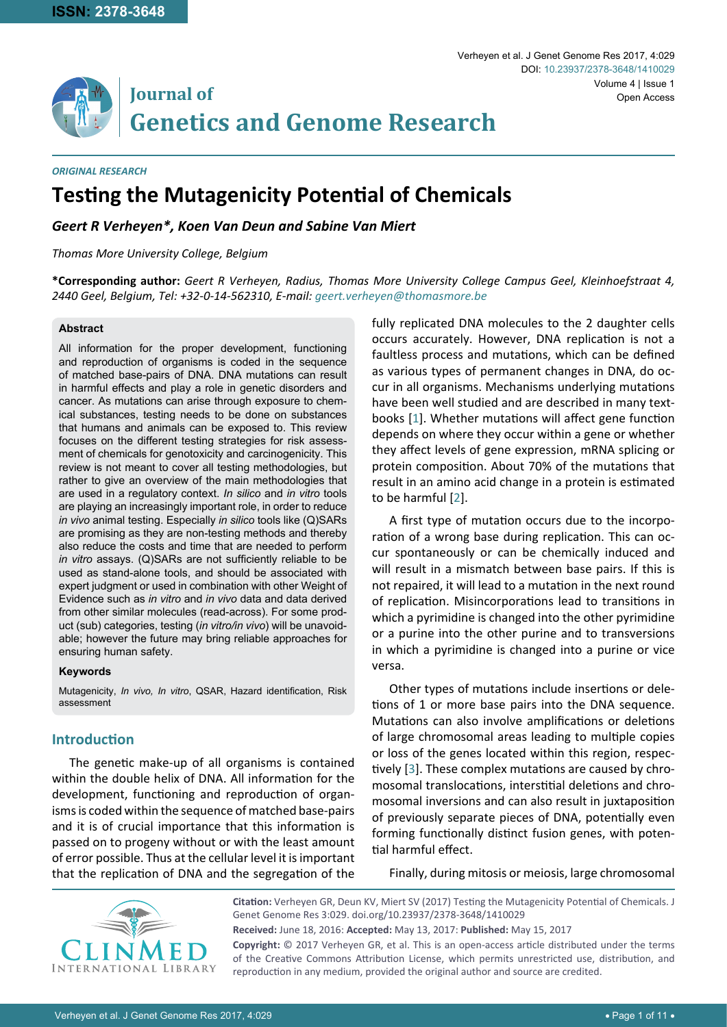

*ORIGINAL RESEARCH*

# **Testing the Mutagenicity Potential of Chemicals**

*Geert R Verheyen\*, Koen Van Deun and Sabine Van Miert*

*Thomas More University College, Belgium*

**\*Corresponding author:** *Geert R Verheyen, Radius, Thomas More University College Campus Geel, Kleinhoefstraat 4, 2440 Geel, Belgium, Tel: +32-0-14-562310, E-mail: geert.verheyen@thomasmore.be*

#### **Abstract**

All information for the proper development, functioning and reproduction of organisms is coded in the sequence of matched base-pairs of DNA. DNA mutations can result in harmful effects and play a role in genetic disorders and cancer. As mutations can arise through exposure to chemical substances, testing needs to be done on substances that humans and animals can be exposed to. This review focuses on the different testing strategies for risk assessment of chemicals for genotoxicity and carcinogenicity. This review is not meant to cover all testing methodologies, but rather to give an overview of the main methodologies that are used in a regulatory context. *In silico* and *in vitro* tools are playing an increasingly important role, in order to reduce *in vivo* animal testing. Especially *in silico* tools like (Q)SARs are promising as they are non-testing methods and thereby also reduce the costs and time that are needed to perform *in vitro* assays. (Q)SARs are not sufficiently reliable to be used as stand-alone tools, and should be associated with expert judgment or used in combination with other Weight of Evidence such as *in vitro* and *in vivo* data and data derived from other similar molecules (read-across). For some product (sub) categories, testing (*in vitro/in vivo*) will be unavoidable; however the future may bring reliable approaches for ensuring human safety.

#### **Keywords**

Mutagenicity, *In vivo, In vitro*, QSAR, Hazard identification, Risk assessment

### **Introduction**

The genetic make-up of all organisms is contained within the double helix of DNA. All information for the development, functioning and reproduction of organisms is coded within the sequence of matched base-pairs and it is of crucial importance that this information is passed on to progeny without or with the least amount of error possible. Thus at the cellular level it is important that the replication of DNA and the segregation of the fully replicated DNA molecules to the 2 daughter cells occurs accurately. However, DNA replication is not a faultless process and mutations, which can be defined as various types of permanent changes in DNA, do occur in all organisms. Mechanisms underlying mutations have been well studied and are described in many textbooks [[1](#page-8-0)]. Whether mutations will affect gene function depends on where they occur within a gene or whether they affect levels of gene expression, mRNA splicing or protein composition. About 70% of the mutations that result in an amino acid change in a protein is estimated to be harmful [[2](#page-8-1)].

A first type of mutation occurs due to the incorporation of a wrong base during replication. This can occur spontaneously or can be chemically induced and will result in a mismatch between base pairs. If this is not repaired, it will lead to a mutation in the next round of replication. Misincorporations lead to transitions in which a pyrimidine is changed into the other pyrimidine or a purine into the other purine and to transversions in which a pyrimidine is changed into a purine or vice versa.

Other types of mutations include insertions or deletions of 1 or more base pairs into the DNA sequence. Mutations can also involve amplifications or deletions of large chromosomal areas leading to multiple copies or loss of the genes located within this region, respectively [[3](#page-8-2)]. These complex mutations are caused by chromosomal translocations, interstitial deletions and chromosomal inversions and can also result in juxtaposition of previously separate pieces of DNA, potentially even forming functionally distinct fusion genes, with potential harmful effect.

Finally, during mitosis or meiosis, large chromosomal



**Citation:** Verheyen GR, Deun KV, Miert SV (2017) Testing the Mutagenicity Potential of Chemicals. J Genet Genome Res 3:029. [doi.org/10.23937/2378-3648/1410029](https://doi.org/10.23937/2378-3648/1410029)

**Received:** June 18, 2016: **Accepted:** May 13, 2017: **Published:** May 15, 2017

**Copyright:** © 2017 Verheyen GR, et al. This is an open-access article distributed under the terms of the Creative Commons Attribution License, which permits unrestricted use, distribution, and reproduction in any medium, provided the original author and source are credited.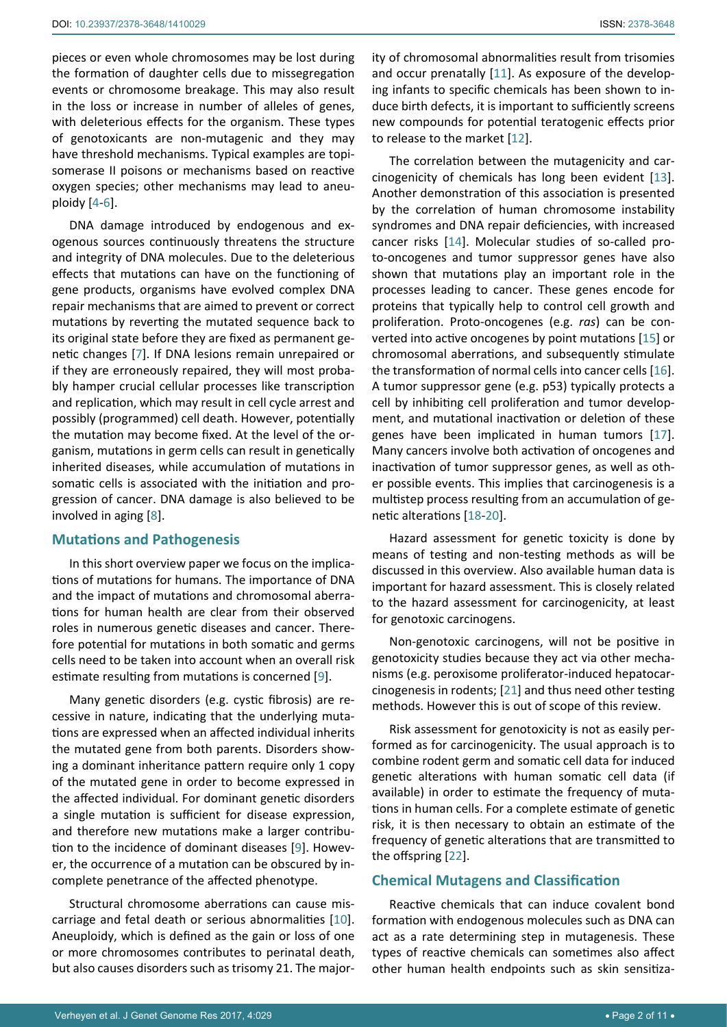pieces or even whole chromosomes may be lost during the formation of daughter cells due to missegregation events or chromosome breakage. This may also result in the loss or increase in number of alleles of genes, with deleterious effects for the organism. These types of genotoxicants are non-mutagenic and they may have threshold mechanisms. Typical examples are topisomerase II poisons or mechanisms based on reactive oxygen species; other mechanisms may lead to aneuploidy [[4](#page-8-3)-[6](#page-8-4)].

DNA damage introduced by endogenous and exogenous sources continuously threatens the structure and integrity of DNA molecules. Due to the deleterious effects that mutations can have on the functioning of gene products, organisms have evolved complex DNA repair mechanisms that are aimed to prevent or correct mutations by reverting the mutated sequence back to its original state before they are fixed as permanent genetic changes [[7](#page-8-5)]. If DNA lesions remain unrepaired or if they are erroneously repaired, they will most probably hamper crucial cellular processes like transcription and replication, which may result in cell cycle arrest and possibly (programmed) cell death. However, potentially the mutation may become fixed. At the level of the organism, mutations in germ cells can result in genetically inherited diseases, while accumulation of mutations in somatic cells is associated with the initiation and progression of cancer. DNA damage is also believed to be involved in aging [\[8\]](#page-8-6).

#### **Mutations and Pathogenesis**

In this short overview paper we focus on the implications of mutations for humans. The importance of DNA and the impact of mutations and chromosomal aberrations for human health are clear from their observed roles in numerous genetic diseases and cancer. Therefore potential for mutations in both somatic and germs cells need to be taken into account when an overall risk estimate resulting from mutations is concerned [\[9\]](#page-8-7).

Many genetic disorders (e.g. cystic fibrosis) are recessive in nature, indicating that the underlying mutations are expressed when an affected individual inherits the mutated gene from both parents. Disorders showing a dominant inheritance pattern require only 1 copy of the mutated gene in order to become expressed in the affected individual. For dominant genetic disorders a single mutation is sufficient for disease expression, and therefore new mutations make a larger contribution to the incidence of dominant diseases [[9](#page-8-7)]. However, the occurrence of a mutation can be obscured by incomplete penetrance of the affected phenotype.

Structural chromosome aberrations can cause miscarriage and fetal death or serious abnormalities [[10](#page-9-11)]. Aneuploidy, which is defined as the gain or loss of one or more chromosomes contributes to perinatal death, but also causes disorders such as trisomy 21. The majority of chromosomal abnormalities result from trisomies and occur prenatally [[11](#page-9-0)]. As exposure of the developing infants to specific chemicals has been shown to induce birth defects, it is important to sufficiently screens new compounds for potential teratogenic effects prior to release to the market [[12](#page-9-1)].

The correlation between the mutagenicity and carcinogenicity of chemicals has long been evident [\[13\]](#page-9-2). Another demonstration of this association is presented by the correlation of human chromosome instability syndromes and DNA repair deficiencies, with increased cancer risks [\[14](#page-9-3)]. Molecular studies of so-called proto-oncogenes and tumor suppressor genes have also shown that mutations play an important role in the processes leading to cancer. These genes encode for proteins that typically help to control cell growth and proliferation. Proto-oncogenes (e.g. *ras*) can be converted into active oncogenes by point mutations [\[15](#page-9-4)] or chromosomal aberrations, and subsequently stimulate the transformation of normal cells into cancer cells [\[16\]](#page-9-5). A tumor suppressor gene (e.g. p53) typically protects a cell by inhibiting cell proliferation and tumor development, and mutational inactivation or deletion of these genes have been implicated in human tumors [[17](#page-9-6)]. Many cancers involve both activation of oncogenes and inactivation of tumor suppressor genes, as well as other possible events. This implies that carcinogenesis is a multistep process resulting from an accumulation of genetic alterations [\[18](#page-9-7)-[20](#page-9-8)].

Hazard assessment for genetic toxicity is done by means of testing and non-testing methods as will be discussed in this overview. Also available human data is important for hazard assessment. This is closely related to the hazard assessment for carcinogenicity, at least for genotoxic carcinogens.

Non-genotoxic carcinogens, will not be positive in genotoxicity studies because they act via other mechanisms (e.g. peroxisome proliferator-induced hepatocarcinogenesis in rodents; [[21](#page-9-9)] and thus need other testing methods. However this is out of scope of this review.

Risk assessment for genotoxicity is not as easily performed as for carcinogenicity. The usual approach is to combine rodent germ and somatic cell data for induced genetic alterations with human somatic cell data (if available) in order to estimate the frequency of mutations in human cells. For a complete estimate of genetic risk, it is then necessary to obtain an estimate of the frequency of genetic alterations that are transmitted to the offspring [[22](#page-9-10)].

## **Chemical Mutagens and Classification**

Reactive chemicals that can induce covalent bond formation with endogenous molecules such as DNA can act as a rate determining step in mutagenesis. These types of reactive chemicals can sometimes also affect other human health endpoints such as skin sensitiza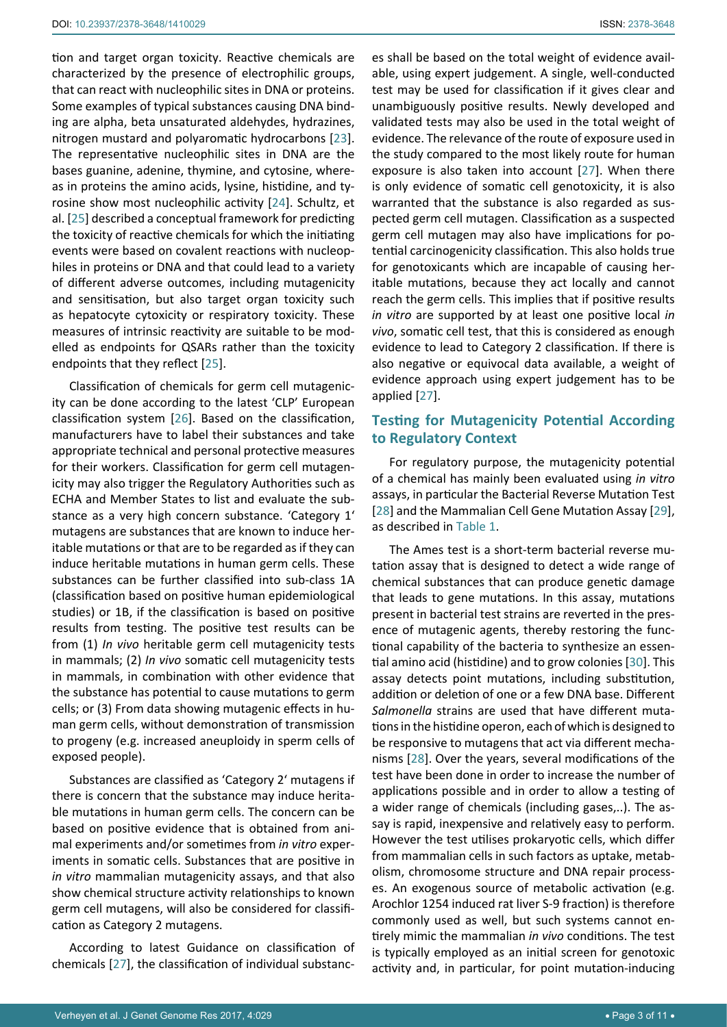tion and target organ toxicity. Reactive chemicals are characterized by the presence of electrophilic groups, that can react with nucleophilic sites in DNA or proteins. Some examples of typical substances causing DNA binding are alpha, beta unsaturated aldehydes, hydrazines, nitrogen mustard and polyaromatic hydrocarbons [\[23](#page-9-16)]. The representative nucleophilic sites in DNA are the bases guanine, adenine, thymine, and cytosine, whereas in proteins the amino acids, lysine, histidine, and tyrosine show most nucleophilic activity [[24\]](#page-9-17). Schultz, et al. [\[25\]](#page-9-18) described a conceptual framework for predicting the toxicity of reactive chemicals for which the initiating events were based on covalent reactions with nucleophiles in proteins or DNA and that could lead to a variety of different adverse outcomes, including mutagenicity and sensitisation, but also target organ toxicity such as hepatocyte cytoxicity or respiratory toxicity. These measures of intrinsic reactivity are suitable to be modelled as endpoints for QSARs rather than the toxicity endpoints that they reflect [\[25](#page-9-18)].

Classification of chemicals for germ cell mutagenicity can be done according to the latest 'CLP' European classification system [\[26](#page-9-19)]. Based on the classification, manufacturers have to label their substances and take appropriate technical and personal protective measures for their workers. Classification for germ cell mutagenicity may also trigger the Regulatory Authorities such as ECHA and Member States to list and evaluate the substance as a very high concern substance. 'Category 1' mutagens are substances that are known to induce heritable mutations or that are to be regarded as if they can induce heritable mutations in human germ cells. These substances can be further classified into sub-class 1A (classification based on positive human epidemiological studies) or 1B, if the classification is based on positive results from testing. The positive test results can be from (1) *In vivo* heritable germ cell mutagenicity tests in mammals; (2) *In vivo* somatic cell mutagenicity tests in mammals, in combination with other evidence that the substance has potential to cause mutations to germ cells; or (3) From data showing mutagenic effects in human germ cells, without demonstration of transmission to progeny (e.g. increased aneuploidy in sperm cells of exposed people).

Substances are classified as 'Category 2' mutagens if there is concern that the substance may induce heritable mutations in human germ cells. The concern can be based on positive evidence that is obtained from animal experiments and/or sometimes from *in vitro* experiments in somatic cells. Substances that are positive in *in vitro* mammalian mutagenicity assays, and that also show chemical structure activity relationships to known germ cell mutagens, will also be considered for classification as Category 2 mutagens.

According to latest Guidance on classification of chemicals [[27](#page-9-12)], the classification of individual substanc-

es shall be based on the total weight of evidence available, using expert judgement. A single, well-conducted test may be used for classification if it gives clear and unambiguously positive results. Newly developed and validated tests may also be used in the total weight of evidence. The relevance of the route of exposure used in the study compared to the most likely route for human exposure is also taken into account [[27](#page-9-12)]. When there is only evidence of somatic cell genotoxicity, it is also warranted that the substance is also regarded as suspected germ cell mutagen. Classification as a suspected germ cell mutagen may also have implications for potential carcinogenicity classification. This also holds true for genotoxicants which are incapable of causing heritable mutations, because they act locally and cannot reach the germ cells. This implies that if positive results *in vitro* are supported by at least one positive local *in vivo*, somatic cell test, that this is considered as enough evidence to lead to Category 2 classification. If there is also negative or equivocal data available, a weight of evidence approach using expert judgement has to be applied [[27](#page-9-12)].

## **Testing for Mutagenicity Potential According to Regulatory Context**

For regulatory purpose, the mutagenicity potential of a chemical has mainly been evaluated using *in vitro* assays, in particular the Bacterial Reverse Mutation Test [\[28](#page-9-13)] and the Mammalian Cell Gene Mutation Assay [\[29](#page-9-14)], as described in [Table 1](#page-3-0).

The Ames test is a short-term bacterial reverse mutation assay that is designed to detect a wide range of chemical substances that can produce genetic damage that leads to gene mutations. In this assay, mutations present in bacterial test strains are reverted in the presence of mutagenic agents, thereby restoring the functional capability of the bacteria to synthesize an essential amino acid (histidine) and to grow colonies [\[30\]](#page-9-15). This assay detects point mutations, including substitution, addition or deletion of one or a few DNA base. Different *Salmonella* strains are used that have different mutations in the histidine operon, each of which is designed to be responsive to mutagens that act via different mechanisms [[28\]](#page-9-13). Over the years, several modifications of the test have been done in order to increase the number of applications possible and in order to allow a testing of a wider range of chemicals (including gases,..). The assay is rapid, inexpensive and relatively easy to perform. However the test utilises prokaryotic cells, which differ from mammalian cells in such factors as uptake, metabolism, chromosome structure and DNA repair processes. An exogenous source of metabolic activation (e.g. Arochlor 1254 induced rat liver S-9 fraction) is therefore commonly used as well, but such systems cannot entirely mimic the mammalian *in vivo* conditions. The test is typically employed as an initial screen for genotoxic activity and, in particular, for point mutation-inducing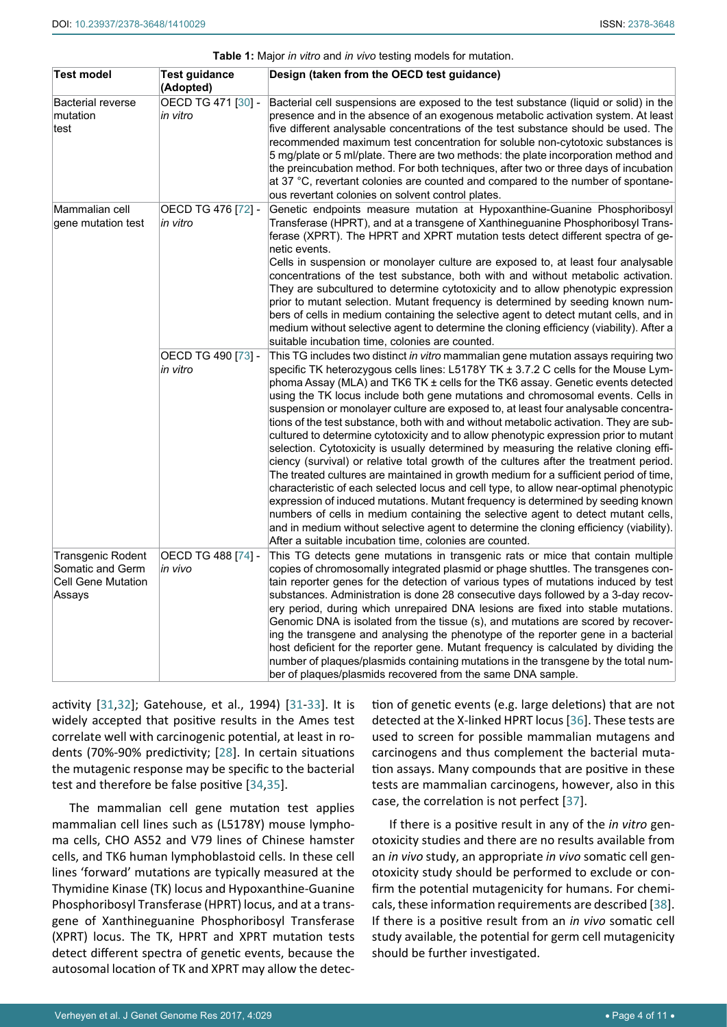<span id="page-3-0"></span>

|  | Table 1: Major in vitro and in vivo testing models for mutation. |
|--|------------------------------------------------------------------|
|  |                                                                  |

| Test model                                                                   | Test guidance<br>(Adopted)     | Design (taken from the OECD test guidance)                                                                                                                                                                                                                                                                                                                                                                                                                                                                                                                                                                                                                                                                                                                                                                                                                                                                                                                                                                                                                                                                                                                                                                                                                                                                                   |
|------------------------------------------------------------------------------|--------------------------------|------------------------------------------------------------------------------------------------------------------------------------------------------------------------------------------------------------------------------------------------------------------------------------------------------------------------------------------------------------------------------------------------------------------------------------------------------------------------------------------------------------------------------------------------------------------------------------------------------------------------------------------------------------------------------------------------------------------------------------------------------------------------------------------------------------------------------------------------------------------------------------------------------------------------------------------------------------------------------------------------------------------------------------------------------------------------------------------------------------------------------------------------------------------------------------------------------------------------------------------------------------------------------------------------------------------------------|
| Bacterial reverse<br>mutation<br>test                                        | OECD TG 471 [30] -<br>in vitro | Bacterial cell suspensions are exposed to the test substance (liquid or solid) in the<br>presence and in the absence of an exogenous metabolic activation system. At least<br>five different analysable concentrations of the test substance should be used. The<br>recommended maximum test concentration for soluble non-cytotoxic substances is<br>5 mg/plate or 5 ml/plate. There are two methods: the plate incorporation method and<br>the preincubation method. For both techniques, after two or three days of incubation<br>at 37 °C, revertant colonies are counted and compared to the number of spontane-<br>ous revertant colonies on solvent control plates.                                                                                                                                                                                                                                                                                                                                                                                                                                                                                                                                                                                                                                                   |
| Mammalian cell<br>gene mutation test                                         | OECD TG 476 [72] -<br>in vitro | Genetic endpoints measure mutation at Hypoxanthine-Guanine Phosphoribosyl<br>Transferase (HPRT), and at a transgene of Xanthineguanine Phosphoribosyl Trans-<br>ferase (XPRT). The HPRT and XPRT mutation tests detect different spectra of ge-<br>netic events.<br>Cells in suspension or monolayer culture are exposed to, at least four analysable<br>concentrations of the test substance, both with and without metabolic activation.<br>They are subcultured to determine cytotoxicity and to allow phenotypic expression<br>prior to mutant selection. Mutant frequency is determined by seeding known num-<br>bers of cells in medium containing the selective agent to detect mutant cells, and in<br>medium without selective agent to determine the cloning efficiency (viability). After a<br>suitable incubation time, colonies are counted.                                                                                                                                                                                                                                                                                                                                                                                                                                                                    |
|                                                                              | OECD TG 490 [73] -<br>in vitro | This TG includes two distinct in vitro mammalian gene mutation assays requiring two<br>specific TK heterozygous cells lines: L5178Y TK ± 3.7.2 C cells for the Mouse Lym-<br>phoma Assay (MLA) and TK6 TK ± cells for the TK6 assay. Genetic events detected<br>using the TK locus include both gene mutations and chromosomal events. Cells in<br>suspension or monolayer culture are exposed to, at least four analysable concentra-<br>tions of the test substance, both with and without metabolic activation. They are sub-<br>cultured to determine cytotoxicity and to allow phenotypic expression prior to mutant<br>selection. Cytotoxicity is usually determined by measuring the relative cloning effi-<br>ciency (survival) or relative total growth of the cultures after the treatment period.<br>The treated cultures are maintained in growth medium for a sufficient period of time,<br>characteristic of each selected locus and cell type, to allow near-optimal phenotypic<br>expression of induced mutations. Mutant frequency is determined by seeding known<br>numbers of cells in medium containing the selective agent to detect mutant cells,<br>and in medium without selective agent to determine the cloning efficiency (viability).<br>After a suitable incubation time, colonies are counted. |
| Transgenic Rodent<br>Somatic and Germ<br><b>Cell Gene Mutation</b><br>Assays | OECD TG 488 [74] -<br>in vivo  | This TG detects gene mutations in transgenic rats or mice that contain multiple<br>copies of chromosomally integrated plasmid or phage shuttles. The transgenes con-<br>tain reporter genes for the detection of various types of mutations induced by test<br>substances. Administration is done 28 consecutive days followed by a 3-day recov-<br>ery period, during which unrepaired DNA lesions are fixed into stable mutations.<br>Genomic DNA is isolated from the tissue (s), and mutations are scored by recover-<br>ing the transgene and analysing the phenotype of the reporter gene in a bacterial<br>host deficient for the reporter gene. Mutant frequency is calculated by dividing the<br>number of plaques/plasmids containing mutations in the transgene by the total num-<br>ber of plaques/plasmids recovered from the same DNA sample.                                                                                                                                                                                                                                                                                                                                                                                                                                                                  |

activity [\[31](#page-9-20),[32](#page-9-21)]; Gatehouse, et al., 1994) [\[31](#page-9-20)-[33\]](#page-9-22). It is widely accepted that positive results in the Ames test correlate well with carcinogenic potential, at least in rodents (70%-90% predictivity; [\[28\]](#page-9-13). In certain situations the mutagenic response may be specific to the bacterial test and therefore be false positive [[34](#page-9-23),[35\]](#page-9-24).

The mammalian cell gene mutation test applies mammalian cell lines such as (L5178Y) mouse lymphoma cells, CHO AS52 and V79 lines of Chinese hamster cells, and TK6 human lymphoblastoid cells. In these cell lines 'forward' mutations are typically measured at the Thymidine Kinase (TK) locus and Hypoxanthine-Guanine Phosphoribosyl Transferase (HPRT) locus, and at a transgene of Xanthineguanine Phosphoribosyl Transferase (XPRT) locus. The TK, HPRT and XPRT mutation tests detect different spectra of genetic events, because the autosomal location of TK and XPRT may allow the detection of genetic events (e.g. large deletions) that are not detected at the X-linked HPRT locus [\[36](#page-9-25)]. These tests are used to screen for possible mammalian mutagens and carcinogens and thus complement the bacterial mutation assays. Many compounds that are positive in these tests are mammalian carcinogens, however, also in this case, the correlation is not perfect [[37\]](#page-9-26).

If there is a positive result in any of the *in vitro* genotoxicity studies and there are no results available from an *in vivo* study, an appropriate *in vivo* somatic cell genotoxicity study should be performed to exclude or confirm the potential mutagenicity for humans. For chemicals, these information requirements are described [\[38\]](#page-9-27). If there is a positive result from an *in vivo* somatic cell study available, the potential for germ cell mutagenicity should be further investigated.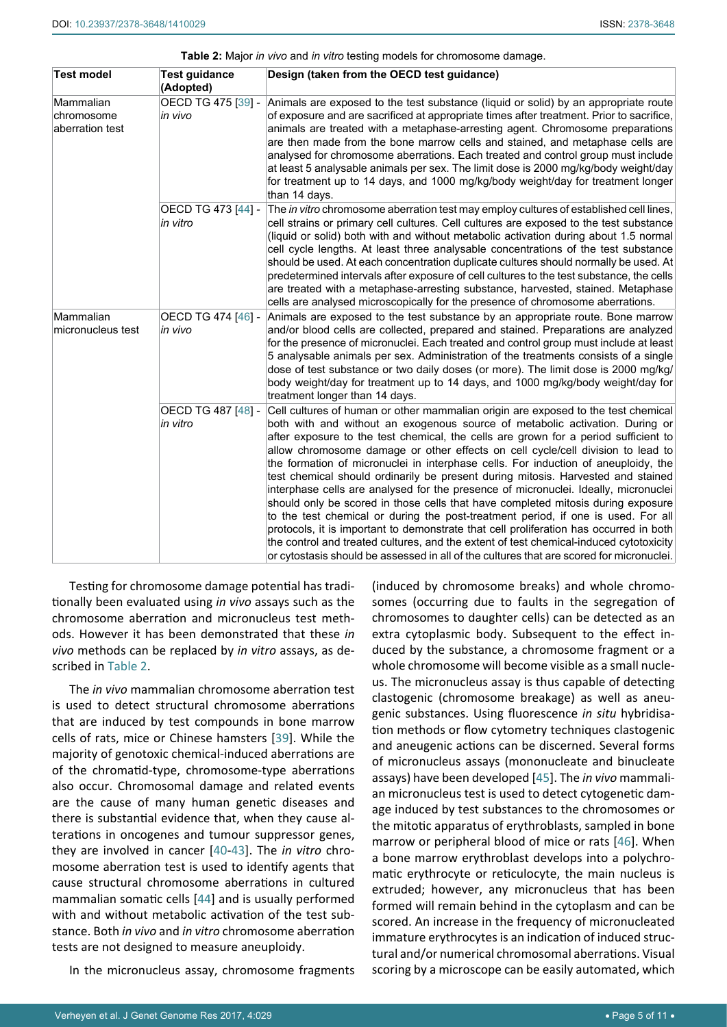<span id="page-4-0"></span>

| Table 2: Major in vivo and in vitro testing models for chromosome damage. |  |  |
|---------------------------------------------------------------------------|--|--|
|---------------------------------------------------------------------------|--|--|

| Test model                                 | Test guidance<br>(Adopted)     | Design (taken from the OECD test guidance)                                                                                                                                                                                                                                                                                                                                                                                                                                                                                                                                                                                                                                                                                                                                                                                                                                                                                                                                                                                                                            |
|--------------------------------------------|--------------------------------|-----------------------------------------------------------------------------------------------------------------------------------------------------------------------------------------------------------------------------------------------------------------------------------------------------------------------------------------------------------------------------------------------------------------------------------------------------------------------------------------------------------------------------------------------------------------------------------------------------------------------------------------------------------------------------------------------------------------------------------------------------------------------------------------------------------------------------------------------------------------------------------------------------------------------------------------------------------------------------------------------------------------------------------------------------------------------|
| Mammalian<br>chromosome<br>aberration test | in vivo                        | OECD TG 475 [39] - Animals are exposed to the test substance (liquid or solid) by an appropriate route<br>of exposure and are sacrificed at appropriate times after treatment. Prior to sacrifice,<br>animals are treated with a metaphase-arresting agent. Chromosome preparations<br>are then made from the bone marrow cells and stained, and metaphase cells are<br>analysed for chromosome aberrations. Each treated and control group must include<br>at least 5 analysable animals per sex. The limit dose is 2000 mg/kg/body weight/day<br>for treatment up to 14 days, and 1000 mg/kg/body weight/day for treatment longer<br>than 14 days.                                                                                                                                                                                                                                                                                                                                                                                                                  |
|                                            | OECD TG 473 [44] -<br>in vitro | The in vitro chromosome aberration test may employ cultures of established cell lines,<br>cell strains or primary cell cultures. Cell cultures are exposed to the test substance<br>(liquid or solid) both with and without metabolic activation during about 1.5 normal<br>cell cycle lengths. At least three analysable concentrations of the test substance<br>should be used. At each concentration duplicate cultures should normally be used. At<br>predetermined intervals after exposure of cell cultures to the test substance, the cells<br>are treated with a metaphase-arresting substance, harvested, stained. Metaphase<br>cells are analysed microscopically for the presence of chromosome aberrations.                                                                                                                                                                                                                                                                                                                                               |
| Mammalian<br>micronucleus test             | OECD TG 474 [46] -<br>in vivo  | Animals are exposed to the test substance by an appropriate route. Bone marrow<br>and/or blood cells are collected, prepared and stained. Preparations are analyzed<br>for the presence of micronuclei. Each treated and control group must include at least<br>5 analysable animals per sex. Administration of the treatments consists of a single<br>dose of test substance or two daily doses (or more). The limit dose is 2000 mg/kg/<br>body weight/day for treatment up to 14 days, and 1000 mg/kg/body weight/day for<br>treatment longer than 14 days.                                                                                                                                                                                                                                                                                                                                                                                                                                                                                                        |
|                                            | OECD TG 487 [48] -<br>in vitro | Cell cultures of human or other mammalian origin are exposed to the test chemical<br>both with and without an exogenous source of metabolic activation. During or<br>after exposure to the test chemical, the cells are grown for a period sufficient to<br>allow chromosome damage or other effects on cell cycle/cell division to lead to<br>the formation of micronuclei in interphase cells. For induction of aneuploidy, the<br>test chemical should ordinarily be present during mitosis. Harvested and stained<br>interphase cells are analysed for the presence of micronuclei. Ideally, micronuclei<br>should only be scored in those cells that have completed mitosis during exposure<br>to the test chemical or during the post-treatment period, if one is used. For all<br>protocols, it is important to demonstrate that cell proliferation has occurred in both<br>the control and treated cultures, and the extent of test chemical-induced cytotoxicity<br>or cytostasis should be assessed in all of the cultures that are scored for micronuclei. |

Testing for chromosome damage potential has traditionally been evaluated using *in vivo* assays such as the chromosome aberration and micronucleus test methods. However it has been demonstrated that these *in vivo* methods can be replaced by *in vitro* assays, as described in [Table 2.](#page-4-0)

The *in vivo* mammalian chromosome aberration test is used to detect structural chromosome aberrations that are induced by test compounds in bone marrow cells of rats, mice or Chinese hamsters [[39\]](#page-9-30). While the majority of genotoxic chemical-induced aberrations are of the chromatid-type, chromosome-type aberrations also occur. Chromosomal damage and related events are the cause of many human genetic diseases and there is substantial evidence that, when they cause alterations in oncogenes and tumour suppressor genes, they are involved in cancer [[40](#page-9-31)[-43\]](#page-9-32). The *in vitro* chromosome aberration test is used to identify agents that cause structural chromosome aberrations in cultured mammalian somatic cells [[44\]](#page-9-33) and is usually performed with and without metabolic activation of the test substance. Both *in vivo* and *in vitro* chromosome aberration tests are not designed to measure aneuploidy.

In the micronucleus assay, chromosome fragments

(induced by chromosome breaks) and whole chromosomes (occurring due to faults in the segregation of chromosomes to daughter cells) can be detected as an extra cytoplasmic body. Subsequent to the effect induced by the substance, a chromosome fragment or a whole chromosome will become visible as a small nucleus. The micronucleus assay is thus capable of detecting clastogenic (chromosome breakage) as well as aneugenic substances. Using fluorescence *in situ* hybridisation methods or flow cytometry techniques clastogenic and aneugenic actions can be discerned. Several forms of micronucleus assays (mononucleate and binucleate assays) have been developed [\[45](#page-9-28)]. The *in vivo* mammalian micronucleus test is used to detect cytogenetic damage induced by test substances to the chromosomes or the mitotic apparatus of erythroblasts, sampled in bone marrow or peripheral blood of mice or rats [[46\]](#page-9-29). When a bone marrow erythroblast develops into a polychromatic erythrocyte or reticulocyte, the main nucleus is extruded; however, any micronucleus that has been formed will remain behind in the cytoplasm and can be scored. An increase in the frequency of micronucleated immature erythrocytes is an indication of induced structural and/or numerical chromosomal aberrations. Visual scoring by a microscope can be easily automated, which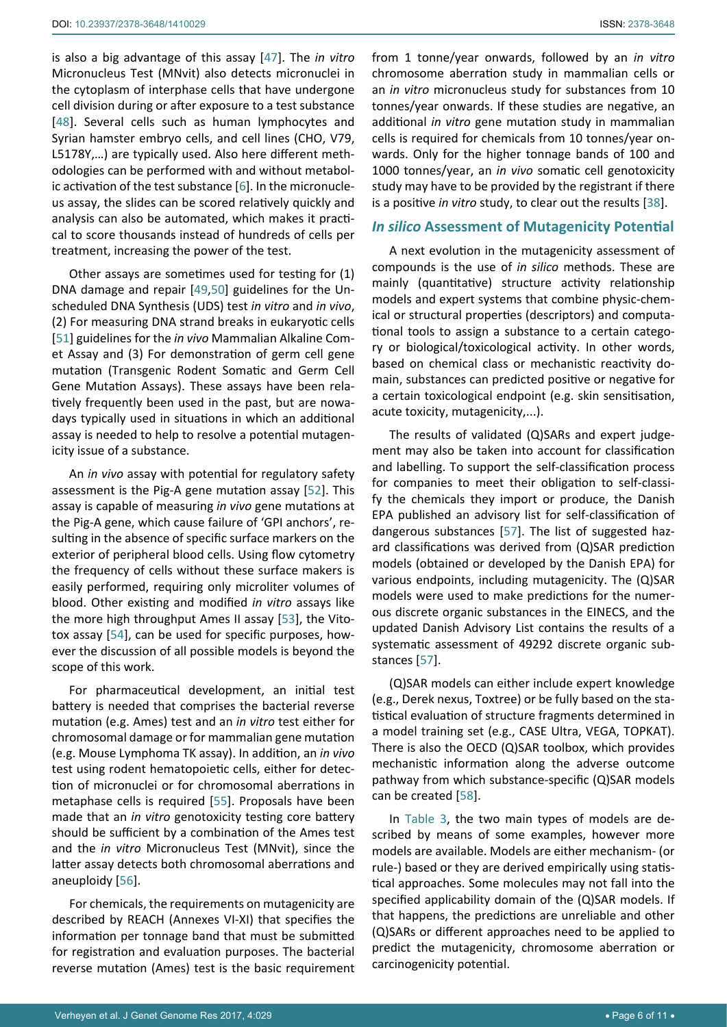is also a big advantage of this assay [\[47\]](#page-9-35). The *in vitro* Micronucleus Test (MNvit) also detects micronuclei in the cytoplasm of interphase cells that have undergone cell division during or after exposure to a test substance [[48](#page-9-34)]. Several cells such as human lymphocytes and Syrian hamster embryo cells, and cell lines (CHO, V79, L5178Y,…) are typically used. Also here different methodologies can be performed with and without metabolic activation of the test substance [[6](#page-8-4)]. In the micronucleus assay, the slides can be scored relatively quickly and analysis can also be automated, which makes it practical to score thousands instead of hundreds of cells per treatment, increasing the power of the test.

Other assays are sometimes used for testing for (1) DNA damage and repair [\[49](#page-9-36),[50](#page-10-5)] guidelines for the Unscheduled DNA Synthesis (UDS) test *in vitro* and *in vivo*, (2) For measuring DNA strand breaks in eukaryotic cells [[51](#page-10-6)] guidelines for the *in vivo* Mammalian Alkaline Comet Assay and (3) For demonstration of germ cell gene mutation (Transgenic Rodent Somatic and Germ Cell Gene Mutation Assays). These assays have been relatively frequently been used in the past, but are nowadays typically used in situations in which an additional assay is needed to help to resolve a potential mutagenicity issue of a substance.

An *in vivo* assay with potential for regulatory safety assessment is the Pig-A gene mutation assay [\[52](#page-10-7)]. This assay is capable of measuring *in vivo* gene mutations at the Pig-A gene, which cause failure of 'GPI anchors', resulting in the absence of specific surface markers on the exterior of peripheral blood cells. Using flow cytometry the frequency of cells without these surface makers is easily performed, requiring only microliter volumes of blood. Other existing and modified *in vitro* assays like the more high throughput Ames II assay [[53\]](#page-10-8), the Vitotox assay [\[54\]](#page-10-9), can be used for specific purposes, however the discussion of all possible models is beyond the scope of this work.

For pharmaceutical development, an initial test battery is needed that comprises the bacterial reverse mutation (e.g. Ames) test and an *in vitro* test either for chromosomal damage or for mammalian gene mutation (e.g. Mouse Lymphoma TK assay). In addition, an *in vivo* test using rodent hematopoietic cells, either for detection of micronuclei or for chromosomal aberrations in metaphase cells is required [\[55](#page-10-10)]. Proposals have been made that an *in vitro* genotoxicity testing core battery should be sufficient by a combination of the Ames test and the *in vitro* Micronucleus Test (MNvit), since the latter assay detects both chromosomal aberrations and aneuploidy [\[56](#page-10-11)].

For chemicals, the requirements on mutagenicity are described by REACH (Annexes VI-XI) that specifies the information per tonnage band that must be submitted for registration and evaluation purposes. The bacterial reverse mutation (Ames) test is the basic requirement from 1 tonne/year onwards, followed by an *in vitro* chromosome aberration study in mammalian cells or an *in vitro* micronucleus study for substances from 10 tonnes/year onwards. If these studies are negative, an additional *in vitro* gene mutation study in mammalian cells is required for chemicals from 10 tonnes/year onwards. Only for the higher tonnage bands of 100 and 1000 tonnes/year, an *in vivo* somatic cell genotoxicity study may have to be provided by the registrant if there is a positive *in vitro* study, to clear out the results [[38](#page-9-27)].

#### *In silico* **Assessment of Mutagenicity Potential**

A next evolution in the mutagenicity assessment of compounds is the use of *in silico* methods. These are mainly (quantitative) structure activity relationship models and expert systems that combine physic-chemical or structural properties (descriptors) and computational tools to assign a substance to a certain category or biological/toxicological activity. In other words, based on chemical class or mechanistic reactivity domain, substances can predicted positive or negative for a certain toxicological endpoint (e.g. skin sensitisation, acute toxicity, mutagenicity,...).

The results of validated (Q)SARs and expert judgement may also be taken into account for classification and labelling. To support the self-classification process for companies to meet their obligation to self-classify the chemicals they import or produce, the Danish EPA published an advisory list for self-classification of dangerous substances [[57\]](#page-10-3). The list of suggested hazard classifications was derived from (Q)SAR prediction models (obtained or developed by the Danish EPA) for various endpoints, including mutagenicity. The (Q)SAR models were used to make predictions for the numerous discrete organic substances in the EINECS, and the updated Danish Advisory List contains the results of a systematic assessment of 49292 discrete organic substances [\[57](#page-10-3)].

(Q)SAR models can either include expert knowledge (e.g., Derek nexus, Toxtree) or be fully based on the statistical evaluation of structure fragments determined in a model training set (e.g., CASE Ultra, VEGA, TOPKAT). There is also the OECD (Q)SAR toolbox, which provides mechanistic information along the adverse outcome pathway from which substance-specific (Q)SAR models can be created [[58\]](#page-10-4).

In [Table 3,](#page-6-0) the two main types of models are described by means of some examples, however more models are available. Models are either mechanism- (or rule-) based or they are derived empirically using statistical approaches. Some molecules may not fall into the specified applicability domain of the (Q)SAR models. If that happens, the predictions are unreliable and other (Q)SARs or different approaches need to be applied to predict the mutagenicity, chromosome aberration or carcinogenicity potential.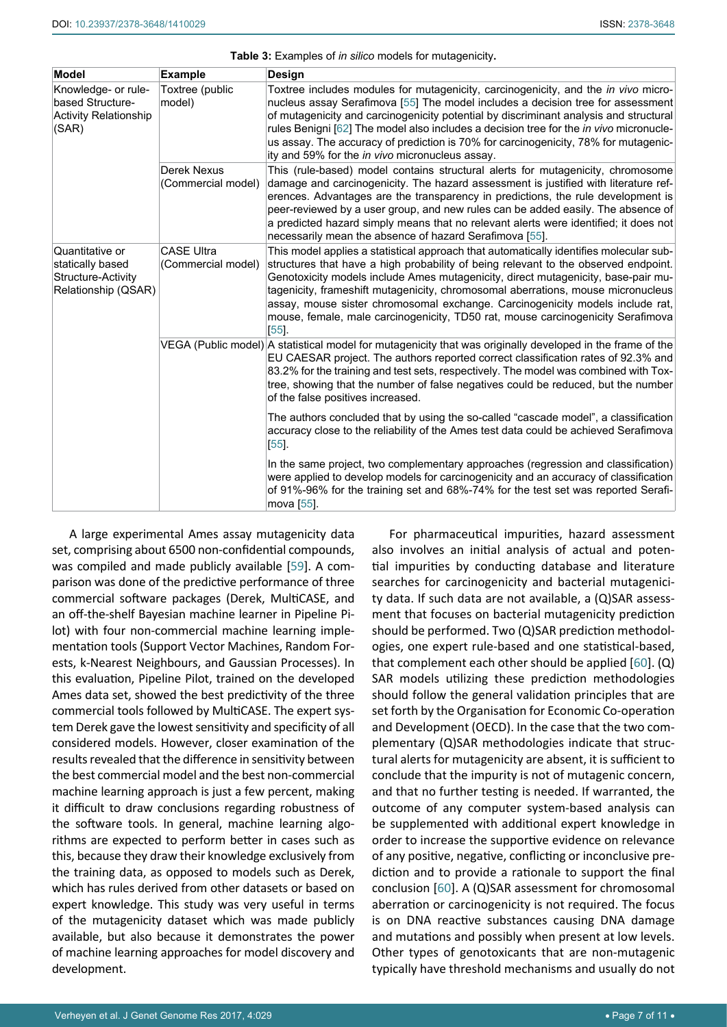| <b>Model</b>                                                                     | <b>Example</b>                          | <b>Design</b>                                                                                                                                                                                                                                                                                                                                                                                                                                                                                                                      |
|----------------------------------------------------------------------------------|-----------------------------------------|------------------------------------------------------------------------------------------------------------------------------------------------------------------------------------------------------------------------------------------------------------------------------------------------------------------------------------------------------------------------------------------------------------------------------------------------------------------------------------------------------------------------------------|
| Knowledge- or rule-<br>based Structure-<br><b>Activity Relationship</b><br>(SAR) | Toxtree (public<br>model)               | Toxtree includes modules for mutagenicity, carcinogenicity, and the in vivo micro-<br>nucleus assay Serafimova [55] The model includes a decision tree for assessment<br>of mutagenicity and carcinogenicity potential by discriminant analysis and structural<br>rules Benigni [62] The model also includes a decision tree for the <i>in vivo</i> micronucle-<br>us assay. The accuracy of prediction is 70% for carcinogenicity, 78% for mutagenic-<br>ity and 59% for the in vivo micronucleus assay.                          |
|                                                                                  | Derek Nexus<br>(Commercial model)       | This (rule-based) model contains structural alerts for mutagenicity, chromosome<br>damage and carcinogenicity. The hazard assessment is justified with literature ref-<br>erences. Advantages are the transparency in predictions, the rule development is<br>peer-reviewed by a user group, and new rules can be added easily. The absence of<br>a predicted hazard simply means that no relevant alerts were identified; it does not<br>necessarily mean the absence of hazard Serafimova [55].                                  |
| Quantitative or<br>statically based<br>Structure-Activity<br>Relationship (QSAR) | <b>CASE Ultra</b><br>(Commercial model) | This model applies a statistical approach that automatically identifies molecular sub-<br>structures that have a high probability of being relevant to the observed endpoint.<br>Genotoxicity models include Ames mutagenicity, direct mutagenicity, base-pair mu-<br>tagenicity, frameshift mutagenicity, chromosomal aberrations, mouse micronucleus<br>assay, mouse sister chromosomal exchange. Carcinogenicity models include rat,<br>mouse, female, male carcinogenicity, TD50 rat, mouse carcinogenicity Serafimova<br>[55] |
|                                                                                  |                                         | VEGA (Public model) A statistical model for mutagenicity that was originally developed in the frame of the<br>EU CAESAR project. The authors reported correct classification rates of 92.3% and<br>83.2% for the training and test sets, respectively. The model was combined with Tox-<br>tree, showing that the number of false negatives could be reduced, but the number<br>of the false positives increased.                                                                                                                  |
|                                                                                  |                                         | The authors concluded that by using the so-called "cascade model", a classification<br>accuracy close to the reliability of the Ames test data could be achieved Serafimova<br>$[55]$ .                                                                                                                                                                                                                                                                                                                                            |
|                                                                                  |                                         | In the same project, two complementary approaches (regression and classification)<br>were applied to develop models for carcinogenicity and an accuracy of classification<br>of 91%-96% for the training set and 68%-74% for the test set was reported Serafi-<br>mova [55].                                                                                                                                                                                                                                                       |

<span id="page-6-0"></span>**Table 3:** Examples of *in silico* models for mutagenicity**.**

A large experimental Ames assay mutagenicity data set, comprising about 6500 non-confidential compounds, was compiled and made publicly available [\[59](#page-10-13)]. A comparison was done of the predictive performance of three commercial software packages (Derek, MultiCASE, and an off-the-shelf Bayesian machine learner in Pipeline Pilot) with four non-commercial machine learning implementation tools (Support Vector Machines, Random Forests, k-Nearest Neighbours, and Gaussian Processes). In this evaluation, Pipeline Pilot, trained on the developed Ames data set, showed the best predictivity of the three commercial tools followed by MultiCASE. The expert system Derek gave the lowest sensitivity and specificity of all considered models. However, closer examination of the results revealed that the difference in sensitivity between the best commercial model and the best non-commercial machine learning approach is just a few percent, making it difficult to draw conclusions regarding robustness of the software tools. In general, machine learning algorithms are expected to perform better in cases such as this, because they draw their knowledge exclusively from the training data, as opposed to models such as Derek, which has rules derived from other datasets or based on expert knowledge. This study was very useful in terms of the mutagenicity dataset which was made publicly available, but also because it demonstrates the power of machine learning approaches for model discovery and development.

For pharmaceutical impurities, hazard assessment also involves an initial analysis of actual and potential impurities by conducting database and literature searches for carcinogenicity and bacterial mutagenicity data. If such data are not available, a (Q)SAR assessment that focuses on bacterial mutagenicity prediction should be performed. Two (Q)SAR prediction methodologies, one expert rule-based and one statistical-based, that complement each other should be applied [\[60](#page-10-12)]. (Q) SAR models utilizing these prediction methodologies should follow the general validation principles that are set forth by the Organisation for Economic Co-operation and Development (OECD). In the case that the two complementary (Q)SAR methodologies indicate that structural alerts for mutagenicity are absent, it is sufficient to conclude that the impurity is not of mutagenic concern, and that no further testing is needed. If warranted, the outcome of any computer system-based analysis can be supplemented with additional expert knowledge in order to increase the supportive evidence on relevance of any positive, negative, conflicting or inconclusive prediction and to provide a rationale to support the final conclusion [\[60](#page-10-12)]. A (Q)SAR assessment for chromosomal aberration or carcinogenicity is not required. The focus is on DNA reactive substances causing DNA damage and mutations and possibly when present at low levels. Other types of genotoxicants that are non-mutagenic typically have threshold mechanisms and usually do not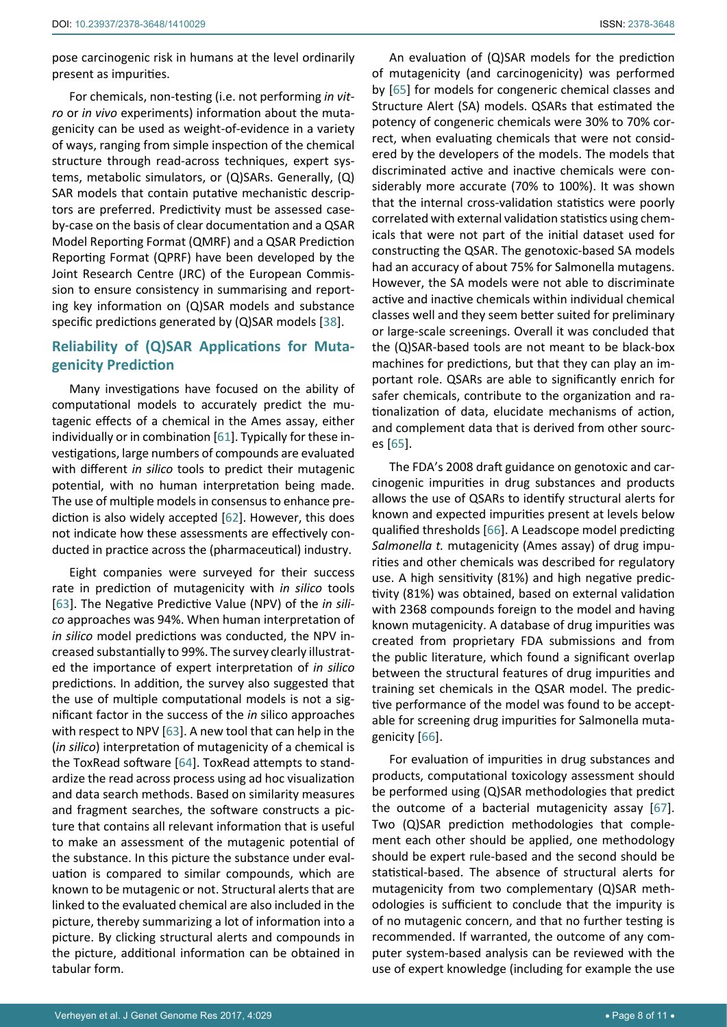pose carcinogenic risk in humans at the level ordinarily present as impurities.

For chemicals, non-testing (i.e. not performing *in vitro* or *in vivo* experiments) information about the mutagenicity can be used as weight-of-evidence in a variety of ways, ranging from simple inspection of the chemical structure through read-across techniques, expert systems, metabolic simulators, or (Q)SARs. Generally, (Q) SAR models that contain putative mechanistic descriptors are preferred. Predictivity must be assessed caseby-case on the basis of clear documentation and a QSAR Model Reporting Format (QMRF) and a QSAR Prediction Reporting Format (QPRF) have been developed by the Joint Research Centre (JRC) of the European Commission to ensure consistency in summarising and reporting key information on (Q)SAR models and substance specific predictions generated by (Q)SAR models [[38](#page-9-27)].

## **Reliability of (Q)SAR Applications for Mutagenicity Prediction**

Many investigations have focused on the ability of computational models to accurately predict the mutagenic effects of a chemical in the Ames assay, either individually or in combination [\[61](#page-10-18)]. Typically for these investigations, large numbers of compounds are evaluated with different *in silico* tools to predict their mutagenic potential, with no human interpretation being made. The use of multiple models in consensus to enhance prediction is also widely accepted [[62\]](#page-10-14). However, this does not indicate how these assessments are effectively conducted in practice across the (pharmaceutical) industry.

Eight companies were surveyed for their success rate in prediction of mutagenicity with *in silico* tools [[63](#page-10-19)]. The Negative Predictive Value (NPV) of the *in silico* approaches was 94%. When human interpretation of *in silico* model predictions was conducted, the NPV increased substantially to 99%. The survey clearly illustrated the importance of expert interpretation of *in silico*  predictions. In addition, the survey also suggested that the use of multiple computational models is not a significant factor in the success of the *in* silico approaches with respect to NPV [[63](#page-10-19)]. A new tool that can help in the (*in silico*) interpretation of mutagenicity of a chemical is the ToxRead software [\[64\]](#page-10-20). ToxRead attempts to standardize the read across process using ad hoc visualization and data search methods. Based on similarity measures and fragment searches, the software constructs a picture that contains all relevant information that is useful to make an assessment of the mutagenic potential of the substance. In this picture the substance under evaluation is compared to similar compounds, which are known to be mutagenic or not. Structural alerts that are linked to the evaluated chemical are also included in the picture, thereby summarizing a lot of information into a picture. By clicking structural alerts and compounds in the picture, additional information can be obtained in tabular form.

An evaluation of (Q)SAR models for the prediction of mutagenicity (and carcinogenicity) was performed by [[65](#page-10-15)] for models for congeneric chemical classes and Structure Alert (SA) models. QSARs that estimated the potency of congeneric chemicals were 30% to 70% correct, when evaluating chemicals that were not considered by the developers of the models. The models that discriminated active and inactive chemicals were considerably more accurate (70% to 100%). It was shown that the internal cross-validation statistics were poorly correlated with external validation statistics using chemicals that were not part of the initial dataset used for constructing the QSAR. The genotoxic-based SA models had an accuracy of about 75% for Salmonella mutagens. However, the SA models were not able to discriminate active and inactive chemicals within individual chemical classes well and they seem better suited for preliminary or large-scale screenings. Overall it was concluded that the (Q)SAR-based tools are not meant to be black-box machines for predictions, but that they can play an important role. QSARs are able to significantly enrich for safer chemicals, contribute to the organization and rationalization of data, elucidate mechanisms of action, and complement data that is derived from other sources [\[65\]](#page-10-15).

The FDA's 2008 draft guidance on genotoxic and carcinogenic impurities in drug substances and products allows the use of QSARs to identify structural alerts for known and expected impurities present at levels below qualified thresholds [\[66](#page-10-16)]. A Leadscope model predicting *Salmonella t.* mutagenicity (Ames assay) of drug impurities and other chemicals was described for regulatory use. A high sensitivity (81%) and high negative predictivity (81%) was obtained, based on external validation with 2368 compounds foreign to the model and having known mutagenicity. A database of drug impurities was created from proprietary FDA submissions and from the public literature, which found a significant overlap between the structural features of drug impurities and training set chemicals in the QSAR model. The predictive performance of the model was found to be acceptable for screening drug impurities for Salmonella mutagenicity [\[66\]](#page-10-16).

For evaluation of impurities in drug substances and products, computational toxicology assessment should be performed using (Q)SAR methodologies that predict the outcome of a bacterial mutagenicity assay [\[67\]](#page-10-17). Two (Q)SAR prediction methodologies that complement each other should be applied, one methodology should be expert rule-based and the second should be statistical-based. The absence of structural alerts for mutagenicity from two complementary (Q)SAR methodologies is sufficient to conclude that the impurity is of no mutagenic concern, and that no further testing is recommended. If warranted, the outcome of any computer system-based analysis can be reviewed with the use of expert knowledge (including for example the use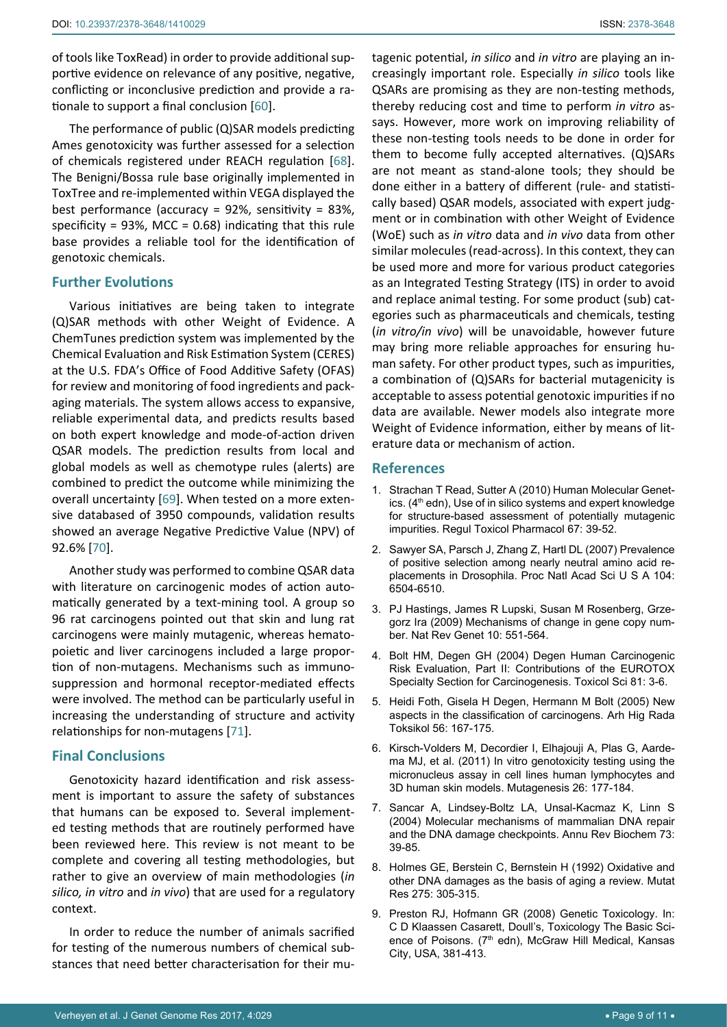of tools like ToxRead) in order to provide additional supportive evidence on relevance of any positive, negative, conflicting or inconclusive prediction and provide a rationale to support a final conclusion [\[60\]](#page-10-12).

The performance of public (Q)SAR models predicting Ames genotoxicity was further assessed for a selection of chemicals registered under REACH regulation [\[68](#page-10-21)]. The Benigni/Bossa rule base originally implemented in ToxTree and re-implemented within VEGA displayed the best performance (accuracy = 92%, sensitivity = 83%, specificity = 93%, MCC =  $0.68$ ) indicating that this rule base provides a reliable tool for the identification of genotoxic chemicals.

# **Further Evolutions**

Various initiatives are being taken to integrate (Q)SAR methods with other Weight of Evidence. A ChemTunes prediction system was implemented by the Chemical Evaluation and Risk Estimation System (CERES) at the U.S. FDA's Office of Food Additive Safety (OFAS) for review and monitoring of food ingredients and packaging materials. The system allows access to expansive, reliable experimental data, and predicts results based on both expert knowledge and mode-of-action driven QSAR models. The prediction results from local and global models as well as chemotype rules (alerts) are combined to predict the outcome while minimizing the overall uncertainty [[69](#page-10-22)]. When tested on a more extensive databased of 3950 compounds, validation results showed an average Negative Predictive Value (NPV) of 92.6% [[70](#page-10-23)].

Another study was performed to combine QSAR data with literature on carcinogenic modes of action automatically generated by a text-mining tool. A group so 96 rat carcinogens pointed out that skin and lung rat carcinogens were mainly mutagenic, whereas hematopoietic and liver carcinogens included a large proportion of non-mutagens. Mechanisms such as immunosuppression and hormonal receptor-mediated effects were involved. The method can be particularly useful in increasing the understanding of structure and activity relationships for non-mutagens [[71](#page-10-24)].

# **Final Conclusions**

Genotoxicity hazard identification and risk assessment is important to assure the safety of substances that humans can be exposed to. Several implemented testing methods that are routinely performed have been reviewed here. This review is not meant to be complete and covering all testing methodologies, but rather to give an overview of main methodologies (*in silico, in vitro* and *in vivo*) that are used for a regulatory context.

In order to reduce the number of animals sacrified for testing of the numerous numbers of chemical substances that need better characterisation for their mutagenic potential, *in silico* and *in vitro* are playing an increasingly important role. Especially *in silico* tools like QSARs are promising as they are non-testing methods, thereby reducing cost and time to perform *in vitro* assays. However, more work on improving reliability of these non-testing tools needs to be done in order for them to become fully accepted alternatives. (Q)SARs are not meant as stand-alone tools; they should be done either in a battery of different (rule- and statistically based) QSAR models, associated with expert judgment or in combination with other Weight of Evidence (WoE) such as *in vitro* data and *in vivo* data from other similar molecules (read-across). In this context, they can be used more and more for various product categories as an Integrated Testing Strategy (ITS) in order to avoid and replace animal testing. For some product (sub) categories such as pharmaceuticals and chemicals, testing (*in vitro/in vivo*) will be unavoidable, however future may bring more reliable approaches for ensuring human safety. For other product types, such as impurities, a combination of (Q)SARs for bacterial mutagenicity is acceptable to assess potential genotoxic impurities if no data are available. Newer models also integrate more Weight of Evidence information, either by means of literature data or mechanism of action.

## <span id="page-8-0"></span>**References**

- 1. Strachan T Read, Sutter A (2010) Human Molecular Genetics. (4<sup>th</sup> edn), Use of in silico systems and expert knowledge for structure-based assessment of potentially mutagenic impurities. Regul Toxicol Pharmacol 67: 39-52.
- <span id="page-8-1"></span>2. [Sawyer SA, Parsch J, Zhang Z, Hartl DL \(2007\) Prevalence](https://www.ncbi.nlm.nih.gov/pubmed/17409186)  [of positive selection among nearly neutral amino acid re](https://www.ncbi.nlm.nih.gov/pubmed/17409186)[placements in Drosophila. Proc Natl Acad Sci U S A 104:](https://www.ncbi.nlm.nih.gov/pubmed/17409186)  [6504-6510.](https://www.ncbi.nlm.nih.gov/pubmed/17409186)
- <span id="page-8-2"></span>3. [PJ Hastings, James R Lupski, Susan M Rosenberg, Grze](https://www.ncbi.nlm.nih.gov/pmc/articles/PMC2864001/)[gorz Ira \(2009\) Mechanisms of change in gene copy num](https://www.ncbi.nlm.nih.gov/pmc/articles/PMC2864001/)[ber. Nat Rev Genet 10: 551-564.](https://www.ncbi.nlm.nih.gov/pmc/articles/PMC2864001/)
- <span id="page-8-3"></span>4. [Bolt HM, Degen GH \(2004\) Degen Human Carcinogenic](https://www.ncbi.nlm.nih.gov/pubmed/15159528)  [Risk Evaluation, Part II: Contributions of the EUROTOX](https://www.ncbi.nlm.nih.gov/pubmed/15159528)  [Specialty Section for Carcinogenesis. Toxicol Sci 81: 3-6.](https://www.ncbi.nlm.nih.gov/pubmed/15159528)
- 5. [Heidi Foth, Gisela H Degen, Hermann M Bolt \(2005\) New](https://www.ncbi.nlm.nih.gov/labs/articles/15968833/)  [aspects in the classification of carcinogens. Arh Hig Rada](https://www.ncbi.nlm.nih.gov/labs/articles/15968833/)  [Toksikol 56: 167-175.](https://www.ncbi.nlm.nih.gov/labs/articles/15968833/)
- <span id="page-8-4"></span>6. [Kirsch-Volders M, Decordier I, Elhajouji A, Plas G, Aarde](https://www.ncbi.nlm.nih.gov/pubmed/21164200)[ma MJ, et al. \(2011\) In vitro genotoxicity testing using the](https://www.ncbi.nlm.nih.gov/pubmed/21164200)  [micronucleus assay in cell lines human lymphocytes and](https://www.ncbi.nlm.nih.gov/pubmed/21164200)  [3D human skin models. Mutagenesis 26: 177-184.](https://www.ncbi.nlm.nih.gov/pubmed/21164200)
- <span id="page-8-5"></span>7. [Sancar A, Lindsey-Boltz LA, Unsal-Kacmaz K, Linn S](https://www.ncbi.nlm.nih.gov/pubmed/15189136)  [\(2004\) Molecular mechanisms of mammalian DNA repair](https://www.ncbi.nlm.nih.gov/pubmed/15189136)  [and the DNA damage checkpoints. Annu Rev Biochem 73:](https://www.ncbi.nlm.nih.gov/pubmed/15189136)  [39-85.](https://www.ncbi.nlm.nih.gov/pubmed/15189136)
- <span id="page-8-6"></span>8. [Holmes GE, Berstein C, Bernstein H \(1992\) Oxidative and](https://www.ncbi.nlm.nih.gov/pubmed/1383772)  [other DNA damages as the basis of aging a review. Mutat](https://www.ncbi.nlm.nih.gov/pubmed/1383772)  [Res 275: 305-315.](https://www.ncbi.nlm.nih.gov/pubmed/1383772)
- <span id="page-8-7"></span>9. Preston RJ, Hofmann GR (2008) Genetic Toxicology. In: C D Klaassen Casarett, Doull's, Toxicology The Basic Science of Poisons. (7<sup>th</sup> edn), McGraw Hill Medical, Kansas City, USA, 381-413.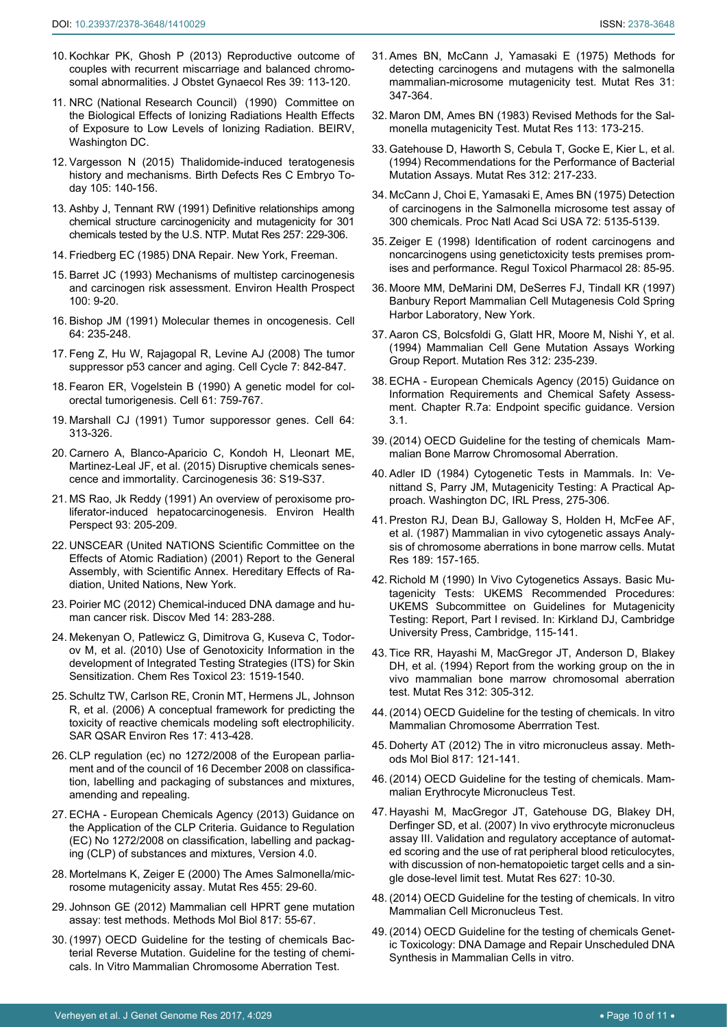11. NRC (National Research Council) (1990) Committee on the Biological Effects of Ionizing Radiations Health Effects of Exposure to Low Levels of Ionizing Radiation. BEIRV, Washington DC.

<span id="page-9-11"></span><span id="page-9-0"></span>[somal abnormalities. J Obstet Gynaecol Res 39: 113-120.](https://www.ncbi.nlm.nih.gov/pubmed/22672580)

- <span id="page-9-1"></span>12. [Vargesson N \(2015\) Thalidomide-induced teratogenesis](https://www.ncbi.nlm.nih.gov/pubmed/26043938)  [history and mechanisms. Birth Defects Res C Embryo To](https://www.ncbi.nlm.nih.gov/pubmed/26043938)[day 105: 140-156.](https://www.ncbi.nlm.nih.gov/pubmed/26043938)
- <span id="page-9-2"></span>13. [Ashby J, Tennant RW \(1991\) Definitive relationships among](https://www.ncbi.nlm.nih.gov/pubmed/1707500)  [chemical structure carcinogenicity and mutagenicity for 301](https://www.ncbi.nlm.nih.gov/pubmed/1707500)  [chemicals tested by the U.S. NTP. Mutat Res 257: 229-306.](https://www.ncbi.nlm.nih.gov/pubmed/1707500)
- <span id="page-9-3"></span>14. Friedberg EC (1985) DNA Repair. New York, Freeman.
- <span id="page-9-4"></span>15. [Barret JC \(1993\) Mechanisms of multistep carcinogenesis](https://www.ncbi.nlm.nih.gov/pubmed/8354184)  [and carcinogen risk assessment. Environ Health Prospect](https://www.ncbi.nlm.nih.gov/pubmed/8354184)  [100: 9-20.](https://www.ncbi.nlm.nih.gov/pubmed/8354184)
- <span id="page-9-5"></span>16. [Bishop JM \(1991\) Molecular themes in oncogenesis. Cell](https://www.ncbi.nlm.nih.gov/pubmed/1988146)  [64: 235-248.](https://www.ncbi.nlm.nih.gov/pubmed/1988146)
- <span id="page-9-6"></span>17. [Feng Z, Hu W, Rajagopal R, Levine AJ \(2008\) The tumor](https://www.ncbi.nlm.nih.gov/pubmed/18414039)  [suppressor p53 cancer and aging. Cell Cycle 7: 842-847.](https://www.ncbi.nlm.nih.gov/pubmed/18414039)
- <span id="page-9-7"></span>18. [Fearon ER, Vogelstein B \(1990\) A genetic model for col](https://www.ncbi.nlm.nih.gov/pubmed/2188735)[orectal tumorigenesis. Cell 61: 759-767.](https://www.ncbi.nlm.nih.gov/pubmed/2188735)
- 19. [Marshall CJ \(1991\) Tumor supporessor genes. Cell 64:](https://www.ncbi.nlm.nih.gov/pubmed/1988150)  [313-326.](https://www.ncbi.nlm.nih.gov/pubmed/1988150)
- <span id="page-9-8"></span>20. [Carnero A, Blanco-Aparicio C, Kondoh H, Lleonart ME,](https://www.ncbi.nlm.nih.gov/pubmed/26106138)  [Martinez-Leal JF, et al. \(2015\) Disruptive chemicals senes](https://www.ncbi.nlm.nih.gov/pubmed/26106138)[cence and immortality. Carcinogenesis 36: S19-S37.](https://www.ncbi.nlm.nih.gov/pubmed/26106138)
- <span id="page-9-9"></span>21. [MS Rao, Jk Reddy \(1991\) An overview of peroxisome pro](https://www.ncbi.nlm.nih.gov/pmc/articles/PMC1568067/)[liferator-induced hepatocarcinogenesis. Environ Health](https://www.ncbi.nlm.nih.gov/pmc/articles/PMC1568067/) [Perspect 93: 205-209.](https://www.ncbi.nlm.nih.gov/pmc/articles/PMC1568067/)
- <span id="page-9-10"></span>22. UNSCEAR (United NATIONS Scientific Committee on the Effects of Atomic Radiation) (2001) Report to the General Assembly, with Scientific Annex. Hereditary Effects of Radiation, United Nations, New York.
- <span id="page-9-16"></span>23. [Poirier MC \(2012\) Chemical-induced DNA damage and hu](https://www.ncbi.nlm.nih.gov/pubmed/23114584)[man cancer risk. Discov Med 14: 283-288.](https://www.ncbi.nlm.nih.gov/pubmed/23114584)
- <span id="page-9-17"></span>24. [Mekenyan O, Patlewicz G, Dimitrova G, Kuseva C, Todor](https://www.ncbi.nlm.nih.gov/pubmed/20845941)[ov M, et al. \(2010\) Use of Genotoxicity Information in the](https://www.ncbi.nlm.nih.gov/pubmed/20845941)  [development of Integrated Testing Strategies \(ITS\) for Skin](https://www.ncbi.nlm.nih.gov/pubmed/20845941)  [Sensitization. Chem Res Toxicol 23: 1519-1540.](https://www.ncbi.nlm.nih.gov/pubmed/20845941)
- <span id="page-9-18"></span>25. [Schultz TW, Carlson RE, Cronin MT, Hermens JL, Johnson](https://www.ncbi.nlm.nih.gov/pubmed/16920662)  [R, et al. \(2006\) A conceptual framework for predicting the](https://www.ncbi.nlm.nih.gov/pubmed/16920662)  [toxicity of reactive chemicals modeling soft electrophilicity.](https://www.ncbi.nlm.nih.gov/pubmed/16920662)  [SAR QSAR Environ Res 17: 413-428](https://www.ncbi.nlm.nih.gov/pubmed/16920662).
- <span id="page-9-19"></span>26. CLP regulation (ec) no 1272/2008 of the European parliament and of the council of 16 December 2008 on classification, labelling and packaging of substances and mixtures, amending and repealing.
- <span id="page-9-12"></span>27. ECHA - European Chemicals Agency (2013) Guidance on the Application of the CLP Criteria. Guidance to Regulation (EC) No 1272/2008 on classification, labelling and packaging (CLP) of substances and mixtures, Version 4.0.
- <span id="page-9-13"></span>28. [Mortelmans K, Zeiger E \(2000\) The Ames Salmonella/mic](https://www.ncbi.nlm.nih.gov/pubmed/11113466)[rosome mutagenicity assay. Mutat Res 455: 29-60.](https://www.ncbi.nlm.nih.gov/pubmed/11113466)
- <span id="page-9-14"></span>29. [Johnson GE \(2012\) Mammalian cell HPRT gene mutation](https://www.ncbi.nlm.nih.gov/pubmed/22147568)  [assay: test methods. Methods Mol Biol 817: 55-67.](https://www.ncbi.nlm.nih.gov/pubmed/22147568)
- <span id="page-9-15"></span>30. (1997) OECD Guideline for the testing of chemicals Bacterial Reverse Mutation. Guideline for the testing of chemicals. In Vitro Mammalian Chromosome Aberration Test.
- <span id="page-9-20"></span>31. [Ames BN, McCann J, Yamasaki E \(1975\) Methods for](https://www.ncbi.nlm.nih.gov/pubmed/768755)  [detecting carcinogens and mutagens with the salmonella](https://www.ncbi.nlm.nih.gov/pubmed/768755)  [mammalian-microsome mutagenicity test. Mutat Res 31:](https://www.ncbi.nlm.nih.gov/pubmed/768755)  [347-364.](https://www.ncbi.nlm.nih.gov/pubmed/768755)
- <span id="page-9-21"></span>32. [Maron DM, Ames BN \(1983\) Revised Methods for the Sal](https://www.ncbi.nlm.nih.gov/pubmed/6341825)[monella mutagenicity Test. Mutat Res 113: 173-215.](https://www.ncbi.nlm.nih.gov/pubmed/6341825)
- <span id="page-9-22"></span>33. [Gatehouse D, Haworth S, Cebula T, Gocke E, Kier L, et al.](https://www.ncbi.nlm.nih.gov/pubmed/7514736)  [\(1994\) Recommendations for the Performance of Bacterial](https://www.ncbi.nlm.nih.gov/pubmed/7514736)  [Mutation Assays. Mutat Res 312: 217-233.](https://www.ncbi.nlm.nih.gov/pubmed/7514736)
- <span id="page-9-23"></span>34. [McCann J, Choi E, Yamasaki E, Ames BN \(1975\) Detection](https://www.ncbi.nlm.nih.gov/pubmed/1061098)  [of carcinogens in the Salmonella microsome test assay of](https://www.ncbi.nlm.nih.gov/pubmed/1061098)  [300 chemicals. Proc Natl Acad Sci USA 72: 5135-5139.](https://www.ncbi.nlm.nih.gov/pubmed/1061098)
- <span id="page-9-24"></span>35. [Zeiger E \(1998\) Identification of rodent carcinogens and](https://www.ncbi.nlm.nih.gov/pubmed/9927558)  [noncarcinogens using genetictoxicity tests premises prom](https://www.ncbi.nlm.nih.gov/pubmed/9927558)[ises and performance. Regul Toxicol Pharmacol 28: 85-95.](https://www.ncbi.nlm.nih.gov/pubmed/9927558)
- <span id="page-9-25"></span>36. Moore MM, DeMarini DM, DeSerres FJ, Tindall KR (1997) Banbury Report Mammalian Cell Mutagenesis Cold Spring Harbor Laboratory, New York.
- <span id="page-9-26"></span>37. [Aaron CS, Bolcsfoldi G, Glatt HR, Moore M, Nishi Y, et al.](https://www.ncbi.nlm.nih.gov/pubmed/7514737)  [\(1994\) Mammalian Cell Gene Mutation Assays Working](https://www.ncbi.nlm.nih.gov/pubmed/7514737)  [Group Report. Mutation Res 312: 235-239.](https://www.ncbi.nlm.nih.gov/pubmed/7514737)
- <span id="page-9-27"></span>38. ECHA - European Chemicals Agency (2015) Guidance on Information Requirements and Chemical Safety Assessment. Chapter R.7a: Endpoint specific guidance. Version 3.1.
- <span id="page-9-30"></span>39. (2014) [OECD Guideline for the testing of chemicals Mam](http://www.oecd-ilibrary.org/environment/test-no-475-mammalian-bone-marrow-chromosomal-aberration-test_9789264224407-en)[malian Bone Marrow Chromosomal Aberration.](http://www.oecd-ilibrary.org/environment/test-no-475-mammalian-bone-marrow-chromosomal-aberration-test_9789264224407-en)
- <span id="page-9-31"></span>40. Adler ID (1984) Cytogenetic Tests in Mammals. In: Venittand S, Parry JM, Mutagenicity Testing: A Practical Approach. Washington DC, IRL Press, 275-306.
- 41. [Preston RJ, Dean BJ, Galloway S, Holden H, McFee AF,](https://www.ncbi.nlm.nih.gov/pubmed/3657831)  [et al. \(1987\) Mammalian in vivo cytogenetic assays Analy](https://www.ncbi.nlm.nih.gov/pubmed/3657831)[sis of chromosome aberrations in bone marrow cells. Mutat](https://www.ncbi.nlm.nih.gov/pubmed/3657831)  [Res 189: 157-165.](https://www.ncbi.nlm.nih.gov/pubmed/3657831)
- 42. Richold M (1990) In Vivo Cytogenetics Assays. Basic Mutagenicity Tests: UKEMS Recommended Procedures: UKEMS Subcommittee on Guidelines for Mutagenicity Testing: Report, Part I revised. In: Kirkland DJ, Cambridge University Press, Cambridge, 115-141.
- <span id="page-9-32"></span>43. [Tice RR, Hayashi M, MacGregor JT, Anderson D, Blakey](https://www.ncbi.nlm.nih.gov/pubmed/7514742)  [DH, et al. \(1994\) Report from the working group on the in](https://www.ncbi.nlm.nih.gov/pubmed/7514742)  [vivo mammalian bone marrow chromosomal aberration](https://www.ncbi.nlm.nih.gov/pubmed/7514742)  [test. Mutat Res 312: 305-312.](https://www.ncbi.nlm.nih.gov/pubmed/7514742)
- <span id="page-9-33"></span>44. (2014) OECD Guideline for the testing of chemicals. In vitro Mammalian Chromosome Aberrration Test.
- <span id="page-9-28"></span>45. [Doherty AT \(2012\) The in vitro micronucleus assay. Meth](https://www.ncbi.nlm.nih.gov/pubmed/22147571)[ods Mol Biol 817: 121-141.](https://www.ncbi.nlm.nih.gov/pubmed/22147571)
- <span id="page-9-29"></span>46. [\(2014\) OECD Guideline for the testing of chemicals. Mam](http://www.oecd.org/env/test-no-474-mammalian-erythrocyte-micronucleus-test-9789264224292-en.htm)[malian Erythrocyte Micronucleus Test.](http://www.oecd.org/env/test-no-474-mammalian-erythrocyte-micronucleus-test-9789264224292-en.htm)
- <span id="page-9-35"></span>47. [Hayashi M, MacGregor JT, Gatehouse DG, Blakey DH,](https://www.ncbi.nlm.nih.gov/pubmed/17157053)  [Derfinger SD, et al. \(2007\) In vivo erythrocyte micronucleus](https://www.ncbi.nlm.nih.gov/pubmed/17157053)  [assay III. Validation and regulatory acceptance of automat](https://www.ncbi.nlm.nih.gov/pubmed/17157053)[ed scoring and the use of rat peripheral blood reticulocytes,](https://www.ncbi.nlm.nih.gov/pubmed/17157053)  [with discussion of non-hematopoietic target cells and a sin](https://www.ncbi.nlm.nih.gov/pubmed/17157053)[gle dose-level limit test. Mutat Res 627: 10-30.](https://www.ncbi.nlm.nih.gov/pubmed/17157053)
- <span id="page-9-34"></span>48. (2014) OECD Guideline for the testing of chemicals. In vitro Mammalian Cell Micronucleus Test.
- <span id="page-9-36"></span>49. (2014) OECD Guideline for the testing of chemicals Genetic Toxicology: DNA Damage and Repair Unscheduled DNA Synthesis in Mammalian Cells in vitro.